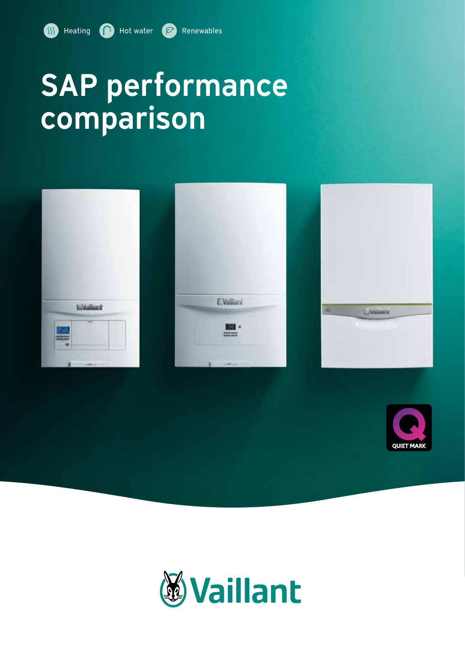# SAP performance comparison









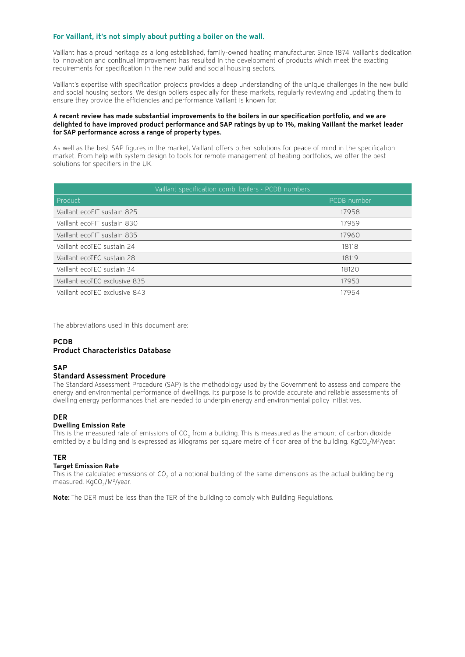#### For Vaillant, it's not simply about putting a boiler on the wall.

Vaillant has a proud heritage as a long established, family-owned heating manufacturer. Since 1874, Vaillant's dedication to innovation and continual improvement has resulted in the development of products which meet the exacting requirements for specification in the new build and social housing sectors.

Vaillant's expertise with specification projects provides a deep understanding of the unique challenges in the new build and social housing sectors. We design boilers especially for these markets, regularly reviewing and updating them to ensure they provide the efficiencies and performance Vaillant is known for.

#### A recent review has made substantial improvements to the boilers in our specification portfolio, and we are delighted to have improved product performance and SAP ratings by up to 1%, making Vaillant the market leader for SAP performance across a range of property types.

As well as the best SAP figures in the market, Vaillant offers other solutions for peace of mind in the specification market. From help with system design to tools for remote management of heating portfolios, we offer the best solutions for specifiers in the UK.

| Vaillant specification combi boilers - PCDB numbers |             |  |
|-----------------------------------------------------|-------------|--|
| Product                                             | PCDB number |  |
| Vaillant ecoFIT sustain 825                         | 17958       |  |
| Vaillant ecoFIT sustain 830                         | 17959       |  |
| Vaillant ecoFIT sustain 835                         | 17960       |  |
| Vaillant ecoTEC sustain 24                          | 18118       |  |
| Vaillant ecoTEC sustain 28                          | 18119       |  |
| Vaillant ecoTEC sustain 34                          | 18120       |  |
| Vaillant ecoTEC exclusive 835                       | 17953       |  |
| Vaillant ecoTEC exclusive 843                       | 17954       |  |

The abbreviations used in this document are:

#### PCDB Product Characteristics Database

#### **SAP**

#### Standard Assessment Procedure

The Standard Assessment Procedure (SAP) is the methodology used by the Government to assess and compare the energy and environmental performance of dwellings. Its purpose is to provide accurate and reliable assessments of dwelling energy performances that are needed to underpin energy and environmental policy initiatives.

#### DER

#### Dwelling Emission Rate

This is the measured rate of emissions of CO<sub>2</sub> from a building. This is measured as the amount of carbon dioxide emitted by a building and is expressed as kilograms per square metre of floor area of the building. KgCO<sub>2</sub>/M<sup>2</sup>/year.

#### TER

#### Target Emission Rate

This is the calculated emissions of CO<sub>2</sub> of a notional building of the same dimensions as the actual building being measured. KgCO<sub>2</sub>/M<sup>2</sup>/year.

Note: The DER must be less than the TER of the building to comply with Building Regulations.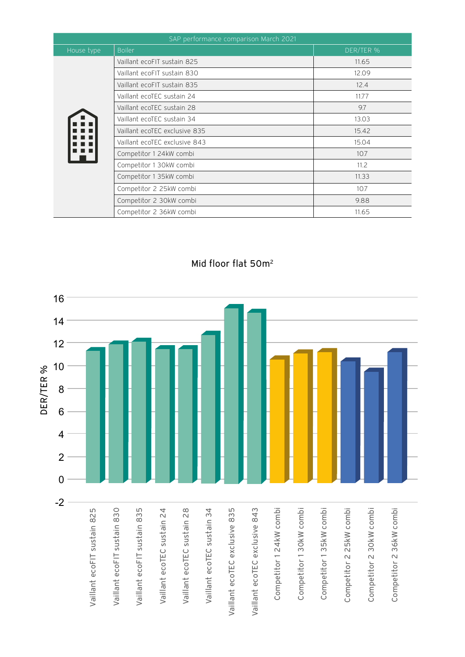| SAP performance comparison March 2021 |                               |           |
|---------------------------------------|-------------------------------|-----------|
| House type                            | <b>Boiler</b>                 | DER/TER % |
|                                       | Vaillant ecoFIT sustain 825   | 11.65     |
|                                       | Vaillant ecoFIT sustain 830   | 12.09     |
|                                       | Vaillant ecoFIT sustain 835   | 12.4      |
|                                       | Vaillant ecoTEC sustain 24    | 11.77     |
|                                       | Vaillant ecoTEC sustain 28    | 9.7       |
|                                       | Vaillant ecoTEC sustain 34    | 13.03     |
|                                       | Vaillant ecoTEC exclusive 835 | 15.42     |
|                                       | Vaillant ecoTEC exclusive 843 | 15.04     |
|                                       | Competitor 1 24kW combi       | 10.7      |
|                                       | Competitor 1 30kW combi       | 11.2      |
|                                       | Competitor 1 35kW combi       | 11.33     |
|                                       | Competitor 2 25kW combi       | 10.7      |
|                                       | Competitor 2 30kW combi       | 9.88      |
|                                       | Competitor 2 36kW combi       | 11.65     |

### Mid floor flat 50m<sup>2</sup>

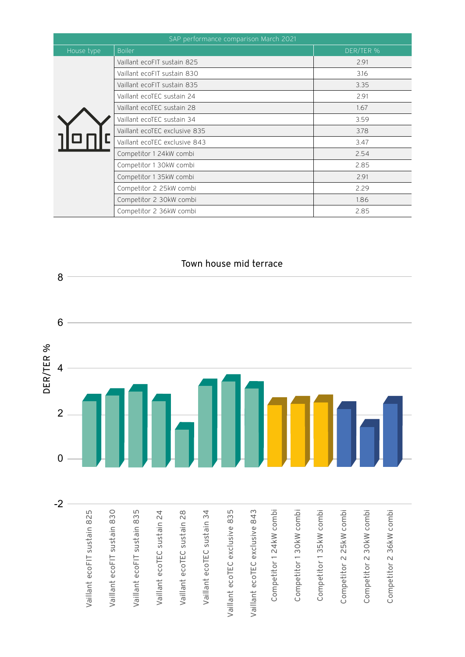| SAP performance comparison March 2021 |                               |           |  |
|---------------------------------------|-------------------------------|-----------|--|
| House type                            | <b>Boiler</b>                 | DER/TER % |  |
|                                       | Vaillant ecoFIT sustain 825   | 2.91      |  |
|                                       | Vaillant ecoFIT sustain 830   | 3.16      |  |
|                                       | Vaillant ecoFIT sustain 835   | 3.35      |  |
|                                       | Vaillant ecoTEC sustain 24    | 2.91      |  |
|                                       | Vaillant ecoTEC sustain 28    | 1.67      |  |
|                                       | Vaillant ecoTEC sustain 34    | 3.59      |  |
|                                       | Vaillant ecoTEC exclusive 835 | 3.78      |  |
|                                       | Vaillant ecoTEC exclusive 843 | 3.47      |  |
|                                       | Competitor 1 24kW combi       | 2.54      |  |
|                                       | Competitor 1 30kW combi       | 2.85      |  |
|                                       | Competitor 1 35kW combi       | 2.91      |  |
|                                       | Competitor 2 25kW combi       | 2.29      |  |
|                                       | Competitor 2 30kW combi       | 1.86      |  |
|                                       | Competitor 2 36kW combi       | 2.85      |  |

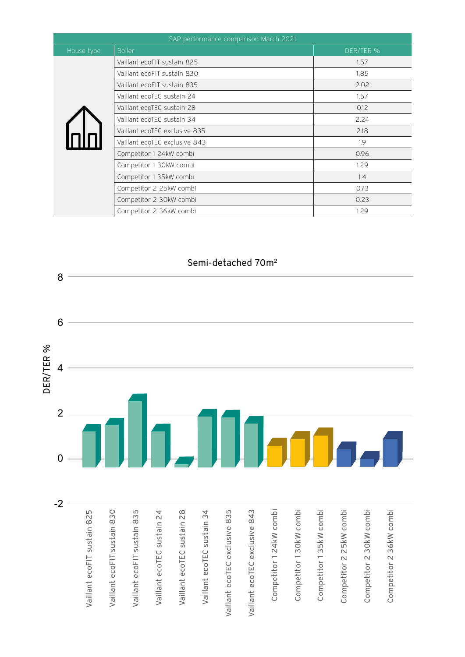| SAP performance comparison March 2021 |                               |           |
|---------------------------------------|-------------------------------|-----------|
| House type                            | <b>Boiler</b>                 | DER/TER % |
|                                       | Vaillant ecoFIT sustain 825   | 1.57      |
|                                       | Vaillant ecoFIT sustain 830   | 1.85      |
|                                       | Vaillant ecoFIT sustain 835   | 2.02      |
|                                       | Vaillant ecoTEC sustain 24    | 1.57      |
|                                       | Vaillant ecoTEC sustain 28    | 0.12      |
|                                       | Vaillant ecoTEC sustain 34    | 2.24      |
|                                       | Vaillant ecoTEC exclusive 835 | 2.18      |
| nlnl                                  | Vaillant ecoTEC exclusive 843 | 1.9       |
|                                       | Competitor 1 24kW combi       | 0.96      |
|                                       | Competitor 1 30kW combi       | 1.29      |
|                                       | Competitor 1 35kW combi       | 1.4       |
|                                       | Competitor 2 25kW combi       | 0.73      |
|                                       | Competitor 2 30kW combi       | 0.23      |
|                                       | Competitor 2 36kW combi       | 1.29      |

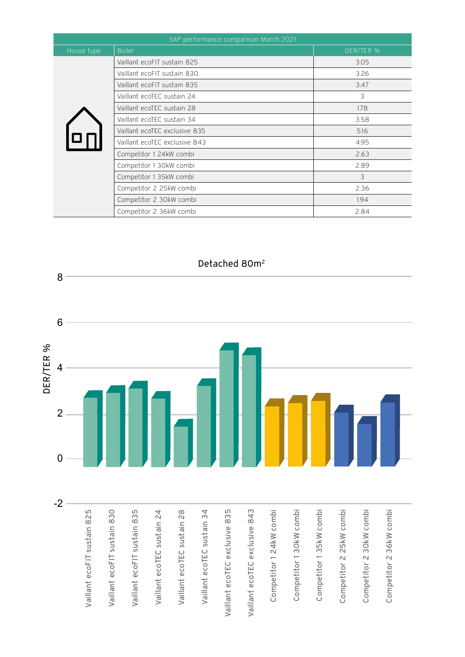| SAP performance comparison March 2021 |                               |           |
|---------------------------------------|-------------------------------|-----------|
| House type                            | <b>Boiler</b>                 | DER/TER % |
|                                       | Vaillant ecoFIT sustain 825   | 3.05      |
|                                       | Vaillant ecoFIT sustain 830   | 3.26      |
|                                       | Vaillant ecoFIT sustain 835   | 3.47      |
|                                       | Vaillant ecoTEC sustain 24    | 3         |
|                                       | Vaillant ecoTEC sustain 28    | 1.78      |
|                                       | Vaillant ecoTEC sustain 34    | 3.58      |
|                                       | Vaillant ecoTEC exclusive 835 | 5.16      |
|                                       | Vaillant ecoTEC exclusive 843 | 4.95      |
|                                       | Competitor 1 24kW combi       | 2.63      |
|                                       | Competitor 1 30kW combi       | 2.89      |
|                                       | Competitor 1 35kW combi       | 3         |
|                                       | Competitor 2 25kW combi       | 2.36      |
|                                       | Competitor 2 30kW combi       | 1.94      |
|                                       | Competitor 2 36kW combi       | 2.84      |

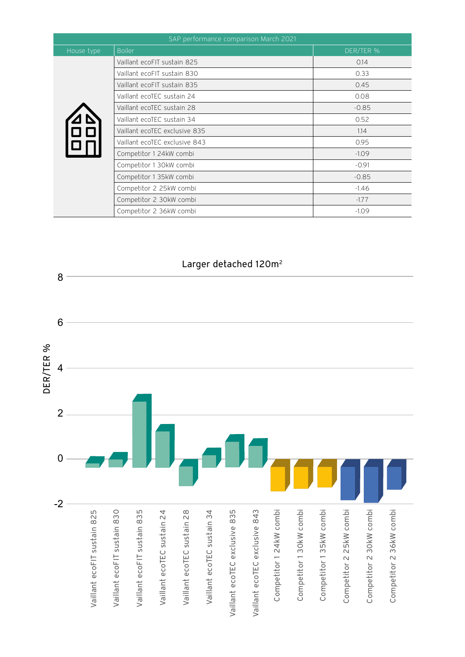| SAP performance comparison March 2021 |                               |           |
|---------------------------------------|-------------------------------|-----------|
| House type                            | <b>Boiler</b>                 | DER/TER % |
| ם<br> םם<br>                          | Vaillant ecoFIT sustain 825   | 0.14      |
|                                       | Vaillant ecoFIT sustain 830   | 0.33      |
|                                       | Vaillant ecoFIT sustain 835   | 0.45      |
|                                       | Vaillant ecoTEC sustain 24    | 0.08      |
|                                       | Vaillant ecoTEC sustain 28    | $-0.85$   |
|                                       | Vaillant ecoTEC sustain 34    | 0.52      |
|                                       | Vaillant ecoTEC exclusive 835 | 1.14      |
|                                       | Vaillant ecoTEC exclusive 843 | 0.95      |
|                                       | Competitor 1 24kW combi       | $-1.09$   |
|                                       | Competitor 1 30kW combi       | $-0.91$   |
|                                       | Competitor 1 35kW combi       | $-0.85$   |
|                                       | Competitor 2 25kW combi       | $-1.46$   |
|                                       | Competitor 2 30kW combi       | $-1.77$   |
|                                       | Competitor 2 36kW combi       | $-1.09$   |